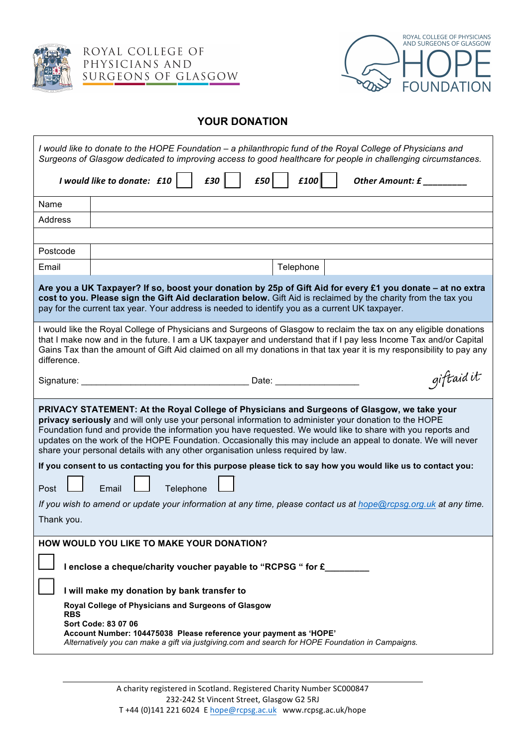

ROYAL COLLEGE OF PHYSICIANS AND SURGEONS OF GLASGOW



## **YOUR DONATION**

| I would like to donate to the HOPE Foundation - a philanthropic fund of the Royal College of Physicians and<br>Surgeons of Glasgow dedicated to improving access to good healthcare for people in challenging circumstances.                                                                                                                                                                                                                                                                                           |                                                                                                                                                                                               |
|------------------------------------------------------------------------------------------------------------------------------------------------------------------------------------------------------------------------------------------------------------------------------------------------------------------------------------------------------------------------------------------------------------------------------------------------------------------------------------------------------------------------|-----------------------------------------------------------------------------------------------------------------------------------------------------------------------------------------------|
| £100<br>I would like to donate: £10<br>£30<br>Other Amount: £                                                                                                                                                                                                                                                                                                                                                                                                                                                          |                                                                                                                                                                                               |
| Name                                                                                                                                                                                                                                                                                                                                                                                                                                                                                                                   |                                                                                                                                                                                               |
| Address                                                                                                                                                                                                                                                                                                                                                                                                                                                                                                                |                                                                                                                                                                                               |
|                                                                                                                                                                                                                                                                                                                                                                                                                                                                                                                        |                                                                                                                                                                                               |
| Postcode                                                                                                                                                                                                                                                                                                                                                                                                                                                                                                               |                                                                                                                                                                                               |
| Email                                                                                                                                                                                                                                                                                                                                                                                                                                                                                                                  | Telephone                                                                                                                                                                                     |
| Are you a UK Taxpayer? If so, boost your donation by 25p of Gift Aid for every £1 you donate – at no extra<br>cost to you. Please sign the Gift Aid declaration below. Gift Aid is reclaimed by the charity from the tax you<br>pay for the current tax year. Your address is needed to identify you as a current UK taxpayer.                                                                                                                                                                                         |                                                                                                                                                                                               |
| I would like the Royal College of Physicians and Surgeons of Glasgow to reclaim the tax on any eligible donations<br>that I make now and in the future. I am a UK taxpayer and understand that if I pay less Income Tax and/or Capital<br>Gains Tax than the amount of Gift Aid claimed on all my donations in that tax year it is my responsibility to pay any<br>difference.                                                                                                                                         |                                                                                                                                                                                               |
| Signature:                                                                                                                                                                                                                                                                                                                                                                                                                                                                                                             | giftaidit<br><b>Example 2014</b> Date: <b>Contract 2014</b>                                                                                                                                   |
| PRIVACY STATEMENT: At the Royal College of Physicians and Surgeons of Glasgow, we take your<br>privacy seriously and will only use your personal information to administer your donation to the HOPE<br>Foundation fund and provide the information you have requested. We would like to share with you reports and<br>updates on the work of the HOPE Foundation. Occasionally this may include an appeal to donate. We will never<br>share your personal details with any other organisation unless required by law. |                                                                                                                                                                                               |
|                                                                                                                                                                                                                                                                                                                                                                                                                                                                                                                        | If you consent to us contacting you for this purpose please tick to say how you would like us to contact you:                                                                                 |
| Post                                                                                                                                                                                                                                                                                                                                                                                                                                                                                                                   | Telephone<br>Email                                                                                                                                                                            |
|                                                                                                                                                                                                                                                                                                                                                                                                                                                                                                                        | If you wish to amend or update your information at any time, please contact us at hope@rcpsg.org.uk at any time.                                                                              |
| Thank you.                                                                                                                                                                                                                                                                                                                                                                                                                                                                                                             |                                                                                                                                                                                               |
|                                                                                                                                                                                                                                                                                                                                                                                                                                                                                                                        | HOW WOULD YOU LIKE TO MAKE YOUR DONATION?                                                                                                                                                     |
| I enclose a cheque/charity voucher payable to "RCPSG " for £                                                                                                                                                                                                                                                                                                                                                                                                                                                           |                                                                                                                                                                                               |
|                                                                                                                                                                                                                                                                                                                                                                                                                                                                                                                        | I will make my donation by bank transfer to                                                                                                                                                   |
|                                                                                                                                                                                                                                                                                                                                                                                                                                                                                                                        | Royal College of Physicians and Surgeons of Glasgow                                                                                                                                           |
| RBS                                                                                                                                                                                                                                                                                                                                                                                                                                                                                                                    | Sort Code: 83 07 06<br>Account Number: 104475038 Please reference your payment as 'HOPE'<br>Alternatively you can make a gift via justgiving.com and search for HOPE Foundation in Campaigns. |